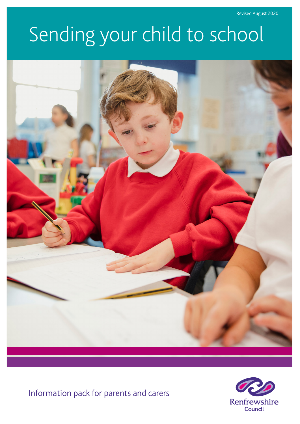# Sending your child to school



Information pack for parents and carers

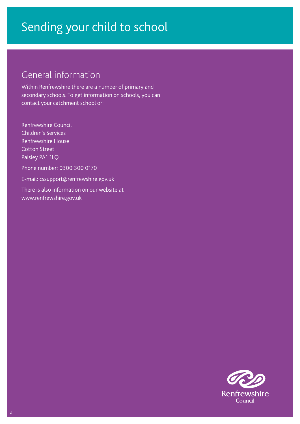### General information

Within Renfrewshire there are a number of primary and secondary schools. To get information on schools, you can contact your catchment school or:

Renfrewshire Council Children's Services Renfrewshire House Cotton Street Paisley PA1 1LQ Phone number: 0300 300 0170 E-mail: cssupport@renfrewshire.gov.uk There is also information on our website at [www.renfrewshire.gov.uk](http://www.renfrewshire.gov.uk)

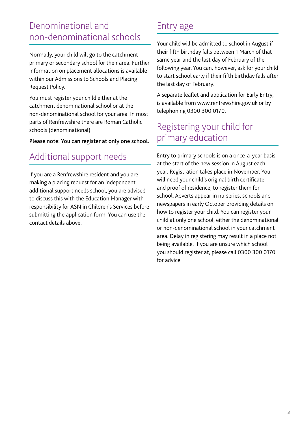### Denominational and non-denominational schools

Normally, your child will go to the catchment primary or secondary school for their area. Further information on placement allocations is available within our Admissions to Schools and Placing Request Policy.

You must register your child either at the catchment denominational school or at the non-denominational school for your area. In most parts of Renfrewshire there are Roman Catholic schools (denominational).

Please note: You can register at only one school.

### Additional support needs

If you are a Renfrewshire resident and you are making a placing request for an independent additional support needs school, you are advised to discuss this with the Education Manager with responsibility for ASN in Children's Services before submitting the application form. You can use the contact details above.

### Entry age

Your child will be admitted to school in August if their fifth birthday falls between 1 March of that same year and the last day of February of the following year. You can, however, ask for your child to start school early if their fifth birthday falls after the last day of February.

A separate leaflet and application for Early Entry, is available from www.renfrewshire.gov.uk or by telephoning 0300 300 0170.

### Registering your child for primary education

Entry to primary schools is on a once-a-year basis at the start of the new session in August each year. Registration takes place in November. You will need your child's original birth certificate and proof of residence, to register them for school. Adverts appear in nurseries, schools and newspapers in early October providing details on how to register your child. You can register your child at only one school, either the denominational or non-denominational school in your catchment area. Delay in registering may result in a place not being available. If you are unsure which school you should register at, please call 0300 300 0170 for advice.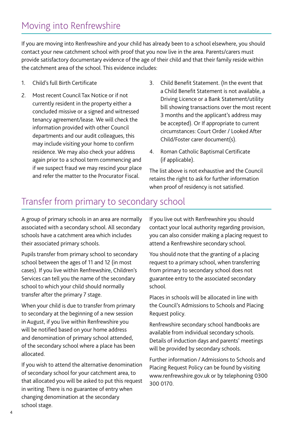### Moving into Renfrewshire

If you are moving into Renfrewshire and your child has already been to a school elsewhere, you should contact your new catchment school with proof that you now live in the area. Parents/carers must provide satisfactory documentary evidence of the age of their child and that their family reside within the catchment area of the school. This evidence includes:

- 1. Child's full Birth Certificate
- 2. Most recent Council Tax Notice or if not currently resident in the property either a concluded missive or a signed and witnessed tenancy agreement/lease. We will check the information provided with other Council departments and our audit colleagues, this may include visiting your home to confirm residence. We may also check your address again prior to a school term commencing and if we suspect fraud we may rescind your place and refer the matter to the Procurator Fiscal.
- 3. Child Benefit Statement. (In the event that a Child Benefit Statement is not available, a Driving Licence or a Bank Statement/utility bill showing transactions over the most recent 3 months and the applicant's address may be accepted). Or If appropriate to current circumstances: Court Order / Looked After Child/Foster carer document(s).
- 4. Roman Catholic Baptismal Certificate (if applicable).

The list above is not exhaustive and the Council retains the right to ask for further information when proof of residency is not satisfied.

### Transfer from primary to secondary school

A group of primary schools in an area are normally associated with a secondary school. All secondary schools have a catchment area which includes their associated primary schools.

Pupils transfer from primary school to secondary school between the ages of 11 and 12 (in most cases). If you live within Renfrewshire, Children's Services can tell you the name of the secondary school to which your child should normally transfer after the primary 7 stage.

When your child is due to transfer from primary to secondary at the beginning of a new session in August, if you live within Renfrewshire you will be notified based on your home address and denomination of primary school attended, of the secondary school where a place has been allocated.

If you wish to attend the alternative denomination of secondary school for your catchment area, to that allocated you will be asked to put this request in writing. There is no guarantee of entry when changing denomination at the secondary school stage.

If you live out with Renfrewshire you should contact your local authority regarding provision, you can also consider making a placing request to attend a Renfrewshire secondary school.

You should note that the granting of a placing request to a primary school, when transferring from primary to secondary school does not guarantee entry to the associated secondary school.

Places in schools will be allocated in line with the Council's Admissions to Schools and Placing Request policy.

Renfrewshire secondary school handbooks are available from individual secondary schools. Details of induction days and parents' meetings will be provided by secondary schools.

Further information / Admissions to Schools and Placing Request Policy can be found by visiting [www.renfrewshire.gov.uk](http://www.renfrewshire.gov.uk) or by telephoning 0300 300 0170.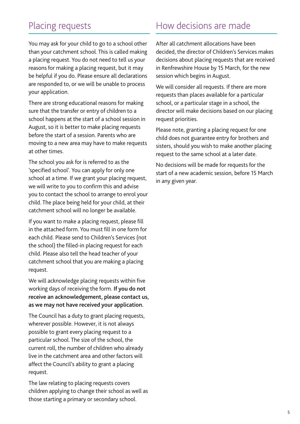### Placing requests

### How decisions are made

You may ask for your child to go to a school other than your catchment school. This is called making a placing request. You do not need to tell us your reasons for making a placing request, but it may be helpful if you do. Please ensure all declarations are responded to, or we will be unable to process your application.

There are strong educational reasons for making sure that the transfer or entry of children to a school happens at the start of a school session in August, so it is better to make placing requests before the start of a session. Parents who are moving to a new area may have to make requests at other times.

The school you ask for is referred to as the 'specified school'. You can apply for only one school at a time. If we grant your placing request, we will write to you to confirm this and advise you to contact the school to arrange to enrol your child. The place being held for your child, at their catchment school will no longer be available.

If you want to make a placing request, please fill in the attached form. You must fill in one form for each child. Please send to Children's Services (not the school) the filled-in placing request for each child. Please also tell the head teacher of your catchment school that you are making a placing request.

We will acknowledge placing requests within five working days of receiving the form. If you do not receive an acknowledgement, please contact us, as we may not have received your application.

The Council has a duty to grant placing requests, wherever possible. However, it is not always possible to grant every placing request to a particular school. The size of the school, the current roll, the number of children who already live in the catchment area and other factors will affect the Council's ability to grant a placing request.

The law relating to placing requests covers children applying to change their school as well as those starting a primary or secondary school.

After all catchment allocations have been decided, the director of Children's Services makes decisions about placing requests that are received in Renfrewshire House by 15 March, for the new session which begins in August.

We will consider all requests. If there are more requests than places available for a particular school, or a particular stage in a school, the director will make decisions based on our placing request priorities.

Please note, granting a placing request for one child does not guarantee entry for brothers and sisters, should you wish to make another placing request to the same school at a later date.

No decisions will be made for requests for the start of a new academic session, before 15 March in any given year.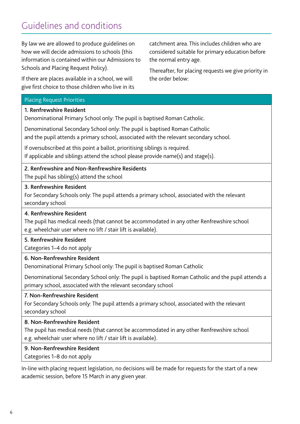# Guidelines and conditions

By law we are allowed to produce guidelines on how we will decide admissions to schools (this information is contained within our Admissions to Schools and Placing Request Policy).

If there are places available in a school, we will give first choice to those children who live in its

catchment area. This includes children who are considered suitable for primary education before the normal entry age.

Thereafter, for placing requests we give priority in the order below:

#### Placing Request Priorities

#### 1. Renfrewshire Resident

Denominational Primary School only: The pupil is baptised Roman Catholic.

Denominational Secondary School only: The pupil is baptised Roman Catholic and the pupil attends a primary school, associated with the relevant secondary school.

If oversubscribed at this point a ballot, prioritising siblings is required. If applicable and siblings attend the school please provide name(s) and stage(s).

### 2. Renfrewshire and Non-Renfrewshire Residents

The pupil has sibling(s) attend the school

#### 3. Renfrewshire Resident

For Secondary Schools only: The pupil attends a primary school, associated with the relevant secondary school

#### 4. Renfrewshire Resident

The pupil has medical needs (that cannot be accommodated in any other Renfrewshire school e.g. wheelchair user where no lift / stair lift is available).

#### 5. Renfrewshire Resident

Categories 1–4 do not apply

#### 6. Non-Renfrewshire Resident

Denominational Primary School only: The pupil is baptised Roman Catholic

Denominational Secondary School only: The pupil is baptised Roman Catholic and the pupil attends a primary school, associated with the relevant secondary school

#### 7. Non-Renfrewshire Resident

For Secondary Schools only: The pupil attends a primary school, associated with the relevant secondary school

#### 8. Non-Renfrewshire Resident

The pupil has medical needs (that cannot be accommodated in any other Renfrewshire school e.g. wheelchair user where no lift / stair lift is available).

#### 9. Non-Renfrewshire Resident

Categories 1–8 do not apply

In-line with placing request legislation, no decisions will be made for requests for the start of a new academic session, before 15 March in any given year.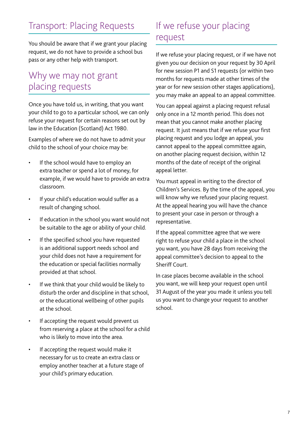# Transport: Placing Requests

You should be aware that if we grant your placing request, we do not have to provide a school bus pass or any other help with transport.

### Why we may not grant placing requests

Once you have told us, in writing, that you want your child to go to a particular school, we can only refuse your request for certain reasons set out by law in the Education (Scotland) Act 1980.

Examples of where we do not have to admit your child to the school of your choice may be:

- If the school would have to employ an extra teacher or spend a lot of money, for example, if we would have to provide an extra classroom.
- If your child's education would suffer as a result of changing school.
- If education in the school you want would not be suitable to the age or ability of your child.
- If the specified school you have requested is an additional support needs school and your child does not have a requirement for the education or special facilities normally provided at that school.
- If we think that your child would be likely to disturb the order and discipline in that school, or the educational wellbeing of other pupils at the school.
- If accepting the request would prevent us from reserving a place at the school for a child who is likely to move into the area.
- If accepting the request would make it necessary for us to create an extra class or employ another teacher at a future stage of your child's primary education.

### If we refuse your placing request

If we refuse your placing request, or if we have not given you our decision on your request by 30 April for new session P1 and S1 requests (or within two months for requests made at other times of the year or for new session other stages applications), you may make an appeal to an appeal committee.

You can appeal against a placing request refusal only once in a 12 month period. This does not mean that you cannot make another placing request. It just means that if we refuse your first placing request and you lodge an appeal, you cannot appeal to the appeal committee again, on another placing request decision, within 12 months of the date of receipt of the original appeal letter.

You must appeal in writing to the director of Children's Services. By the time of the appeal, you will know why we refused your placing request. At the appeal hearing you will have the chance to present your case in person or through a representative.

If the appeal committee agree that we were right to refuse your child a place in the school you want, you have 28 days from receiving the appeal committee's decision to appeal to the Sheriff Court.

In case places become available in the school you want, we will keep your request open until 31 August of the year you made it unless you tell us you want to change your request to another school.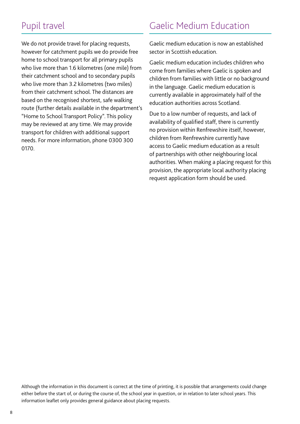### Pupil travel

We do not provide travel for placing requests, however for catchment pupils we do provide free home to school transport for all primary pupils who live more than 1.6 kilometres (one mile) from their catchment school and to secondary pupils who live more than 3.2 kilometres (two miles) from their catchment school. The distances are based on the recognised shortest, safe walking route (further details available in the department's "Home to School Transport Policy". This policy may be reviewed at any time. We may provide transport for children with additional support needs. For more information, phone 0300 300 0170.

### Gaelic Medium Education

Gaelic medium education is now an established sector in Scottish education.

Gaelic medium education includes children who come from families where Gaelic is spoken and children from families with little or no background in the language. Gaelic medium education is currently available in approximately half of the education authorities across Scotland.

Due to a low number of requests, and lack of availability of qualified staff, there is currently no provision within Renfrewshire itself, however, children from Renfrewshire currently have access to Gaelic medium education as a result of partnerships with other neighbouring local authorities. When making a placing request for this provision, the appropriate local authority placing request application form should be used.

Although the information in this document is correct at the time of printing, it is possible that arrangements could change either before the start of, or during the course of, the school year in question, or in relation to later school years. This information leaflet only provides general guidance about placing requests.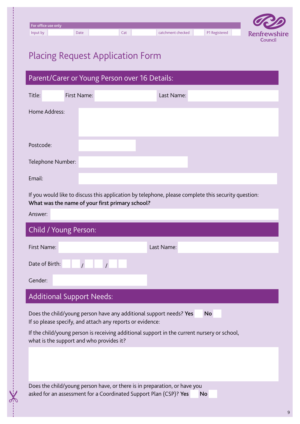| GRID         |               |                   |     |      |                     |
|--------------|---------------|-------------------|-----|------|---------------------|
|              |               |                   |     |      | For office use only |
| Renfrewshire | P1 Registered | catchment checked | Cat | Date | Input by            |
| Council      |               |                   |     |      |                     |

# Placing Request Application Form

| Parent/Carer or Young Person over 16 Details: |             |            |  |  |
|-----------------------------------------------|-------------|------------|--|--|
| Title:                                        | First Name: | Last Name: |  |  |
| Home Address:                                 |             |            |  |  |
| Postcode:                                     |             |            |  |  |
| Telephone Number:                             |             |            |  |  |
| Email:                                        |             |            |  |  |

If you would like to discuss this application by telephone, please complete this security question: What was the name of your first primary school?

| Answer:                                                                                                                         |            |
|---------------------------------------------------------------------------------------------------------------------------------|------------|
| Child / Young Person:                                                                                                           |            |
| First Name:                                                                                                                     | Last Name: |
| Date of Birth:                                                                                                                  |            |
| Gender:                                                                                                                         |            |
| <b>Additional Support Needs:</b>                                                                                                |            |
| Does the child/young person have any additional support needs? Yes<br>If so please specify, and attach any reports or evidence: | <b>No</b>  |

If the child/young person is receiving additional support in the current nursery or school, what is the support and who provides it?

Does the child/young person have, or there is in preparation, or have you asked for an assessment for a Coordinated Support Plan (CSP)? Yes No

 $\sigma_{\mathcal{N}}$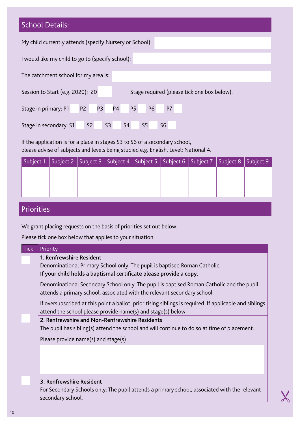| <b>School Details:</b>                                                                                           |
|------------------------------------------------------------------------------------------------------------------|
| My child currently attends (specify Nursery or School):                                                          |
| I would like my child to go to (specify school):                                                                 |
| The catchment school for my area is:                                                                             |
| Session to Start (e.g. 2020): 20<br>Stage required (please tick one box below).                                  |
| P <sub>4</sub><br><b>P6</b><br>P7<br><b>P3</b><br><b>P5</b><br>P <sub>2</sub><br>Stage in primary: P1            |
| S <sub>2</sub><br>S <sub>3</sub><br>S <sub>4</sub><br>S <sub>5</sub><br>S <sub>6</sub><br>Stage in secondary: S1 |

If the application is for a place in stages S3 to S6 of a secondary school, please advise of subjects and levels being studied e.g. English, Level: National 4.

| Subject 1   Subject 2   Subject 3   Subject 4   Subject 5   Subject 6   Subject 7   Subject 8   Subject 9 |  |  |  |  |
|-----------------------------------------------------------------------------------------------------------|--|--|--|--|
|                                                                                                           |  |  |  |  |
|                                                                                                           |  |  |  |  |
|                                                                                                           |  |  |  |  |

### Priorities

We grant placing requests on the basis of priorities set out below:

Please tick one box below that applies to your situation:

| <b>Tick</b> | Priority                                                                                                                                                                    |
|-------------|-----------------------------------------------------------------------------------------------------------------------------------------------------------------------------|
|             | 1. Renfrewshire Resident<br>Denominational Primary School only: The pupil is baptised Roman Catholic.<br>If your child holds a baptismal certificate please provide a copy. |
|             | Denominational Secondary School only: The pupil is baptised Roman Catholic and the pupil<br>attends a primary school, associated with the relevant secondary school.        |
|             | If oversubscribed at this point a ballot, prioritising siblings is required. If applicable and siblings<br>attend the school please provide name(s) and stage(s) below      |
|             | 2. Renfrewshire and Non-Renfrewshire Residents                                                                                                                              |
|             | The pupil has sibling(s) attend the school and will continue to do so at time of placement.                                                                                 |
|             | Please provide name(s) and stage(s)                                                                                                                                         |
|             |                                                                                                                                                                             |
|             | 3. Renfrewshire Resident                                                                                                                                                    |
|             | For Secondary Schools only: The pupil attends a primary school, associated with the relevant<br>secondary school.                                                           |

X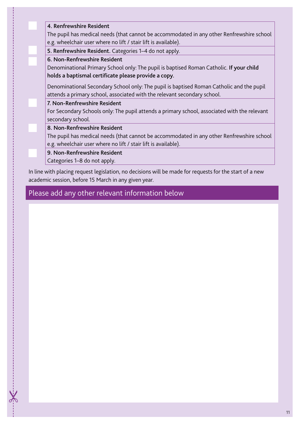| 4. Renfrewshire Resident                                                                                                                                    |
|-------------------------------------------------------------------------------------------------------------------------------------------------------------|
| The pupil has medical needs (that cannot be accommodated in any other Renfrewshire school<br>e.g. wheelchair user where no lift / stair lift is available). |
| 5. Renfrewshire Resident. Categories 1-4 do not apply.                                                                                                      |
| 6. Non-Renfrewshire Resident                                                                                                                                |
| Denominational Primary School only: The pupil is baptised Roman Catholic. If your child                                                                     |
| holds a baptismal certificate please provide a copy.                                                                                                        |
| Denominational Secondary School only: The pupil is baptised Roman Catholic and the pupil                                                                    |
| attends a primary school, associated with the relevant secondary school.                                                                                    |
| 7. Non-Renfrewshire Resident                                                                                                                                |
| For Secondary Schools only: The pupil attends a primary school, associated with the relevant                                                                |
| secondary school.                                                                                                                                           |
| 8. Non-Renfrewshire Resident                                                                                                                                |
| The pupil has medical needs (that cannot be accommodated in any other Renfrewshire school                                                                   |
| e.g. wheelchair user where no lift / stair lift is available).                                                                                              |
| 9. Non-Renfrewshire Resident                                                                                                                                |
| Categories 1–8 do not apply.                                                                                                                                |

In line with placing request legislation, no decisions will be made for requests for the start of a new academic session, before 15 March in any given year.

Please add any other relevant information below

 $X$